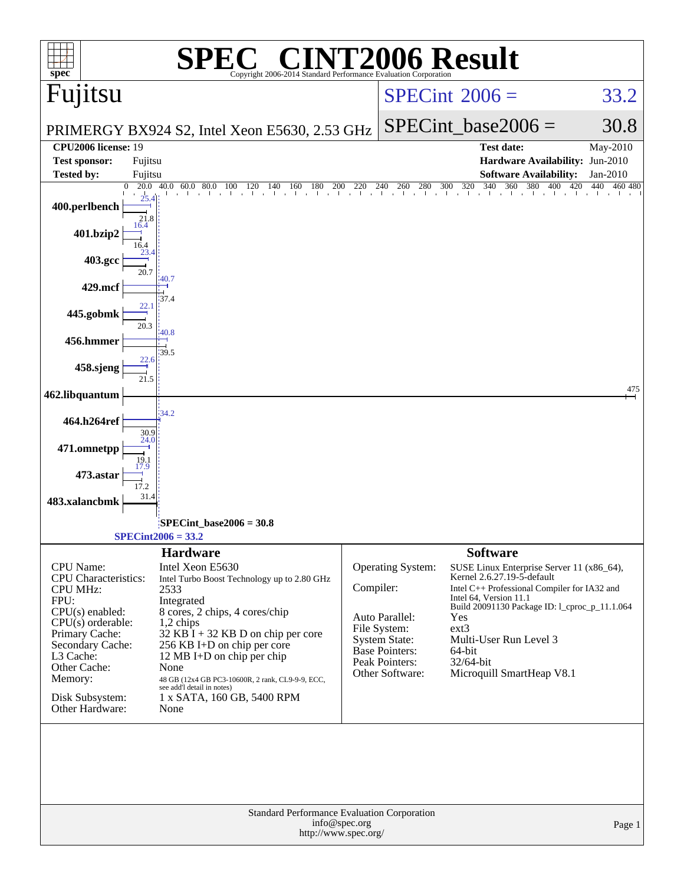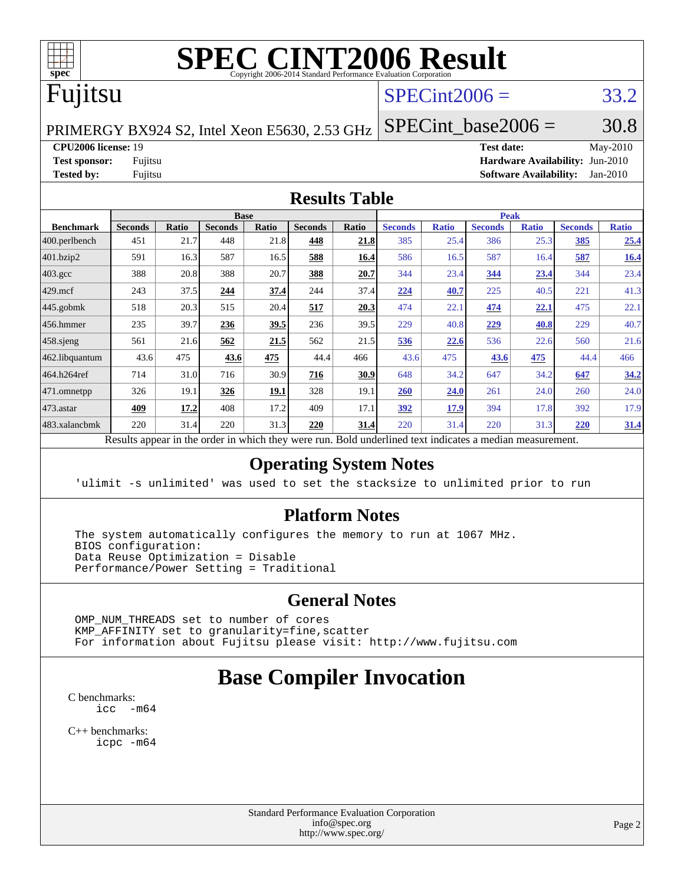

# **[SPEC CINT2006 Result](http://www.spec.org/auto/cpu2006/Docs/result-fields.html#SPECCINT2006Result)**

# Fujitsu

### $SPECint2006 = 33.2$  $SPECint2006 = 33.2$

PRIMERGY BX924 S2, Intel Xeon E5630, 2.53 GHz

SPECint base2006 =  $30.8$ 

**[CPU2006 license:](http://www.spec.org/auto/cpu2006/Docs/result-fields.html#CPU2006license)** 19 **[Test date:](http://www.spec.org/auto/cpu2006/Docs/result-fields.html#Testdate)** May-2010

**[Test sponsor:](http://www.spec.org/auto/cpu2006/Docs/result-fields.html#Testsponsor)** Fujitsu **[Hardware Availability:](http://www.spec.org/auto/cpu2006/Docs/result-fields.html#HardwareAvailability)** Jun-2010 **[Tested by:](http://www.spec.org/auto/cpu2006/Docs/result-fields.html#Testedby)** Fujitsu **[Software Availability:](http://www.spec.org/auto/cpu2006/Docs/result-fields.html#SoftwareAvailability)** Jan-2010

#### **[Results Table](http://www.spec.org/auto/cpu2006/Docs/result-fields.html#ResultsTable)**

|                      |                |       | <b>Base</b>    |       |                |             |                |              | <b>Peak</b>    |              |                |              |
|----------------------|----------------|-------|----------------|-------|----------------|-------------|----------------|--------------|----------------|--------------|----------------|--------------|
| <b>Benchmark</b>     | <b>Seconds</b> | Ratio | <b>Seconds</b> | Ratio | <b>Seconds</b> | Ratio       | <b>Seconds</b> | <b>Ratio</b> | <b>Seconds</b> | <b>Ratio</b> | <b>Seconds</b> | <b>Ratio</b> |
| 400.perlbench        | 451            | 21.7  | 448            | 21.8  | 448            | 21.8        | 385            | 25.4         | 386            | 25.3         | 385            | 25.4         |
| 401.bzip2            | 591            | 16.3  | 587            | 16.5  | 588            | 16.4        | 586            | 16.5         | 587            | 16.4         | 587            | 16.4         |
| $403.\text{gcc}$     | 388            | 20.8  | 388            | 20.7  | 388            | 20.7        | 344            | 23.4         | 344            | 23.4         | 344            | 23.4         |
| $429$ .mcf           | 243            | 37.5  | 244            | 37.4  | 244            | 37.4        | 224            | 40.7         | 225            | 40.5         | 221            | 41.3         |
| $ 445.\text{gobmk} $ | 518            | 20.3  | 515            | 20.4  | 517            | 20.3        | 474            | 22.1         | 474            | 22.1         | 475            | 22.1         |
| 456.hmmer            | 235            | 39.7  | 236            | 39.5  | 236            | 39.5        | 229            | 40.8         | 229            | 40.8         | 229            | 40.7         |
| $458$ .sjeng         | 561            | 21.6  | 562            | 21.5  | 562            | 21.5        | 536            | 22.6         | 536            | 22.6         | 560            | 21.6         |
| 462.libquantum       | 43.6           | 475   | 43.6           | 475   | 44.4           | 466         | 43.6           | 475          | 43.6           | 475          | 44.4           | 466          |
| 464.h264ref          | 714            | 31.0  | 716            | 30.9  | 716            | 30.9        | 648            | 34.2         | 647            | 34.2         | 647            | 34.2         |
| 471.omnetpp          | 326            | 19.1  | 326            | 19.1  | 328            | 19.1        | 260            | 24.0         | 261            | 24.0         | 260            | 24.0         |
| $ 473$ . astar       | 409            | 17.2  | 408            | 17.2  | 409            | 17.1        | 392            | 17.9         | 394            | 17.8         | 392            | 17.9         |
| 483.xalancbmk        | 220            | 31.4  | 220            | 31.3  | 220            | <u>31.4</u> | 220            | 31.4         | 220            | 31.3         | 220            | 31.4         |

Results appear in the [order in which they were run.](http://www.spec.org/auto/cpu2006/Docs/result-fields.html#RunOrder) Bold underlined text [indicates a median measurement.](http://www.spec.org/auto/cpu2006/Docs/result-fields.html#Median)

#### **[Operating System Notes](http://www.spec.org/auto/cpu2006/Docs/result-fields.html#OperatingSystemNotes)**

'ulimit -s unlimited' was used to set the stacksize to unlimited prior to run

#### **[Platform Notes](http://www.spec.org/auto/cpu2006/Docs/result-fields.html#PlatformNotes)**

 The system automatically configures the memory to run at 1067 MHz. BIOS configuration: Data Reuse Optimization = Disable Performance/Power Setting = Traditional

#### **[General Notes](http://www.spec.org/auto/cpu2006/Docs/result-fields.html#GeneralNotes)**

 OMP\_NUM\_THREADS set to number of cores KMP\_AFFINITY set to granularity=fine,scatter For information about Fujitsu please visit: <http://www.fujitsu.com>

## **[Base Compiler Invocation](http://www.spec.org/auto/cpu2006/Docs/result-fields.html#BaseCompilerInvocation)**

[C benchmarks](http://www.spec.org/auto/cpu2006/Docs/result-fields.html#Cbenchmarks):  $\text{icc}$   $-\text{m64}$ 

[C++ benchmarks:](http://www.spec.org/auto/cpu2006/Docs/result-fields.html#CXXbenchmarks) [icpc -m64](http://www.spec.org/cpu2006/results/res2010q3/cpu2006-20100618-11738.flags.html#user_CXXbase_intel_icpc_64bit_fc66a5337ce925472a5c54ad6a0de310)

> Standard Performance Evaluation Corporation [info@spec.org](mailto:info@spec.org) <http://www.spec.org/>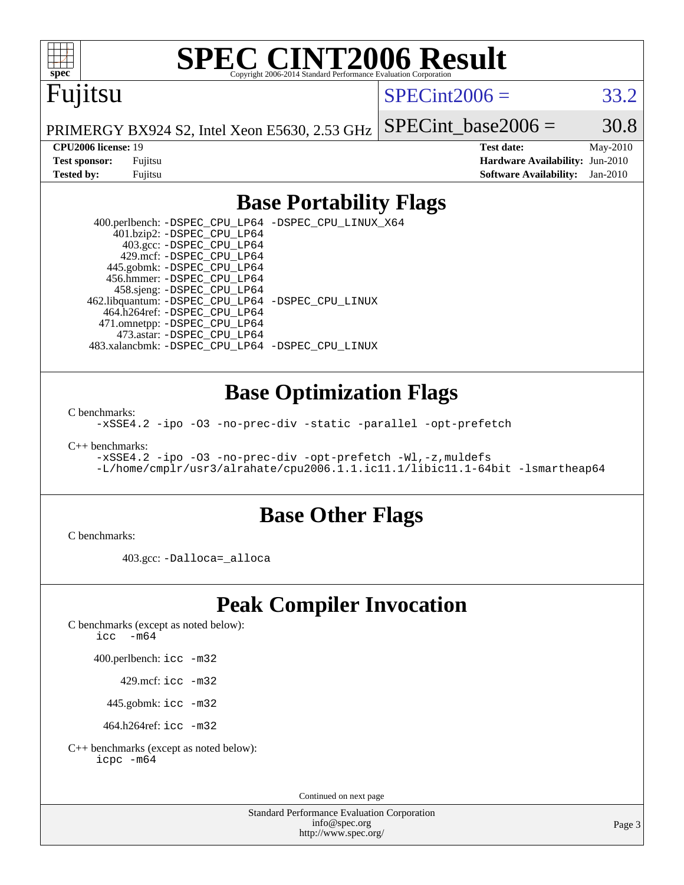

# **[SPEC CINT2006 Result](http://www.spec.org/auto/cpu2006/Docs/result-fields.html#SPECCINT2006Result)**

# Fujitsu

#### $SPECint2006 = 33.2$  $SPECint2006 = 33.2$

PRIMERGY BX924 S2, Intel Xeon E5630, 2.53 GHz SPECint base2006 =  $30.8$ 

**[CPU2006 license:](http://www.spec.org/auto/cpu2006/Docs/result-fields.html#CPU2006license)** 19 **[Test date:](http://www.spec.org/auto/cpu2006/Docs/result-fields.html#Testdate)** May-2010 **[Test sponsor:](http://www.spec.org/auto/cpu2006/Docs/result-fields.html#Testsponsor)** Fujitsu **[Hardware Availability:](http://www.spec.org/auto/cpu2006/Docs/result-fields.html#HardwareAvailability)** Jun-2010 **[Tested by:](http://www.spec.org/auto/cpu2006/Docs/result-fields.html#Testedby)** Fujitsu **[Software Availability:](http://www.spec.org/auto/cpu2006/Docs/result-fields.html#SoftwareAvailability)** Jan-2010

### **[Base Portability Flags](http://www.spec.org/auto/cpu2006/Docs/result-fields.html#BasePortabilityFlags)**

 400.perlbench: [-DSPEC\\_CPU\\_LP64](http://www.spec.org/cpu2006/results/res2010q3/cpu2006-20100618-11738.flags.html#b400.perlbench_basePORTABILITY_DSPEC_CPU_LP64) [-DSPEC\\_CPU\\_LINUX\\_X64](http://www.spec.org/cpu2006/results/res2010q3/cpu2006-20100618-11738.flags.html#b400.perlbench_baseCPORTABILITY_DSPEC_CPU_LINUX_X64) 401.bzip2: [-DSPEC\\_CPU\\_LP64](http://www.spec.org/cpu2006/results/res2010q3/cpu2006-20100618-11738.flags.html#suite_basePORTABILITY401_bzip2_DSPEC_CPU_LP64) 403.gcc: [-DSPEC\\_CPU\\_LP64](http://www.spec.org/cpu2006/results/res2010q3/cpu2006-20100618-11738.flags.html#suite_basePORTABILITY403_gcc_DSPEC_CPU_LP64) 429.mcf: [-DSPEC\\_CPU\\_LP64](http://www.spec.org/cpu2006/results/res2010q3/cpu2006-20100618-11738.flags.html#suite_basePORTABILITY429_mcf_DSPEC_CPU_LP64) 445.gobmk: [-DSPEC\\_CPU\\_LP64](http://www.spec.org/cpu2006/results/res2010q3/cpu2006-20100618-11738.flags.html#suite_basePORTABILITY445_gobmk_DSPEC_CPU_LP64) 456.hmmer: [-DSPEC\\_CPU\\_LP64](http://www.spec.org/cpu2006/results/res2010q3/cpu2006-20100618-11738.flags.html#suite_basePORTABILITY456_hmmer_DSPEC_CPU_LP64) 458.sjeng: [-DSPEC\\_CPU\\_LP64](http://www.spec.org/cpu2006/results/res2010q3/cpu2006-20100618-11738.flags.html#suite_basePORTABILITY458_sjeng_DSPEC_CPU_LP64) 462.libquantum: [-DSPEC\\_CPU\\_LP64](http://www.spec.org/cpu2006/results/res2010q3/cpu2006-20100618-11738.flags.html#suite_basePORTABILITY462_libquantum_DSPEC_CPU_LP64) [-DSPEC\\_CPU\\_LINUX](http://www.spec.org/cpu2006/results/res2010q3/cpu2006-20100618-11738.flags.html#b462.libquantum_baseCPORTABILITY_DSPEC_CPU_LINUX) 464.h264ref: [-DSPEC\\_CPU\\_LP64](http://www.spec.org/cpu2006/results/res2010q3/cpu2006-20100618-11738.flags.html#suite_basePORTABILITY464_h264ref_DSPEC_CPU_LP64) 471.omnetpp: [-DSPEC\\_CPU\\_LP64](http://www.spec.org/cpu2006/results/res2010q3/cpu2006-20100618-11738.flags.html#suite_basePORTABILITY471_omnetpp_DSPEC_CPU_LP64) 473.astar: [-DSPEC\\_CPU\\_LP64](http://www.spec.org/cpu2006/results/res2010q3/cpu2006-20100618-11738.flags.html#suite_basePORTABILITY473_astar_DSPEC_CPU_LP64) 483.xalancbmk: [-DSPEC\\_CPU\\_LP64](http://www.spec.org/cpu2006/results/res2010q3/cpu2006-20100618-11738.flags.html#suite_basePORTABILITY483_xalancbmk_DSPEC_CPU_LP64) [-DSPEC\\_CPU\\_LINUX](http://www.spec.org/cpu2006/results/res2010q3/cpu2006-20100618-11738.flags.html#b483.xalancbmk_baseCXXPORTABILITY_DSPEC_CPU_LINUX)

#### **[Base Optimization Flags](http://www.spec.org/auto/cpu2006/Docs/result-fields.html#BaseOptimizationFlags)**

[C benchmarks](http://www.spec.org/auto/cpu2006/Docs/result-fields.html#Cbenchmarks):

[-xSSE4.2](http://www.spec.org/cpu2006/results/res2010q3/cpu2006-20100618-11738.flags.html#user_CCbase_f-xSSE42_f91528193cf0b216347adb8b939d4107) [-ipo](http://www.spec.org/cpu2006/results/res2010q3/cpu2006-20100618-11738.flags.html#user_CCbase_f-ipo) [-O3](http://www.spec.org/cpu2006/results/res2010q3/cpu2006-20100618-11738.flags.html#user_CCbase_f-O3) [-no-prec-div](http://www.spec.org/cpu2006/results/res2010q3/cpu2006-20100618-11738.flags.html#user_CCbase_f-no-prec-div) [-static](http://www.spec.org/cpu2006/results/res2010q3/cpu2006-20100618-11738.flags.html#user_CCbase_f-static) [-parallel](http://www.spec.org/cpu2006/results/res2010q3/cpu2006-20100618-11738.flags.html#user_CCbase_f-parallel) [-opt-prefetch](http://www.spec.org/cpu2006/results/res2010q3/cpu2006-20100618-11738.flags.html#user_CCbase_f-opt-prefetch)

[C++ benchmarks:](http://www.spec.org/auto/cpu2006/Docs/result-fields.html#CXXbenchmarks)

[-xSSE4.2](http://www.spec.org/cpu2006/results/res2010q3/cpu2006-20100618-11738.flags.html#user_CXXbase_f-xSSE42_f91528193cf0b216347adb8b939d4107) [-ipo](http://www.spec.org/cpu2006/results/res2010q3/cpu2006-20100618-11738.flags.html#user_CXXbase_f-ipo) [-O3](http://www.spec.org/cpu2006/results/res2010q3/cpu2006-20100618-11738.flags.html#user_CXXbase_f-O3) [-no-prec-div](http://www.spec.org/cpu2006/results/res2010q3/cpu2006-20100618-11738.flags.html#user_CXXbase_f-no-prec-div) [-opt-prefetch](http://www.spec.org/cpu2006/results/res2010q3/cpu2006-20100618-11738.flags.html#user_CXXbase_f-opt-prefetch) [-Wl,-z,muldefs](http://www.spec.org/cpu2006/results/res2010q3/cpu2006-20100618-11738.flags.html#user_CXXbase_link_force_multiple1_74079c344b956b9658436fd1b6dd3a8a) [-L/home/cmplr/usr3/alrahate/cpu2006.1.1.ic11.1/libic11.1-64bit -lsmartheap64](http://www.spec.org/cpu2006/results/res2010q3/cpu2006-20100618-11738.flags.html#user_CXXbase_SmartHeap64_e2306cda84805d1ab360117a79ff779c)

#### **[Base Other Flags](http://www.spec.org/auto/cpu2006/Docs/result-fields.html#BaseOtherFlags)**

[C benchmarks](http://www.spec.org/auto/cpu2006/Docs/result-fields.html#Cbenchmarks):

403.gcc: [-Dalloca=\\_alloca](http://www.spec.org/cpu2006/results/res2010q3/cpu2006-20100618-11738.flags.html#b403.gcc_baseEXTRA_CFLAGS_Dalloca_be3056838c12de2578596ca5467af7f3)

## **[Peak Compiler Invocation](http://www.spec.org/auto/cpu2006/Docs/result-fields.html#PeakCompilerInvocation)**

[C benchmarks \(except as noted below\)](http://www.spec.org/auto/cpu2006/Docs/result-fields.html#Cbenchmarksexceptasnotedbelow):

icc  $-m64$ 

400.perlbench: [icc -m32](http://www.spec.org/cpu2006/results/res2010q3/cpu2006-20100618-11738.flags.html#user_peakCCLD400_perlbench_intel_icc_32bit_a6a621f8d50482236b970c6ac5f55f93)

429.mcf: [icc -m32](http://www.spec.org/cpu2006/results/res2010q3/cpu2006-20100618-11738.flags.html#user_peakCCLD429_mcf_intel_icc_32bit_a6a621f8d50482236b970c6ac5f55f93)

445.gobmk: [icc -m32](http://www.spec.org/cpu2006/results/res2010q3/cpu2006-20100618-11738.flags.html#user_peakCCLD445_gobmk_intel_icc_32bit_a6a621f8d50482236b970c6ac5f55f93)

464.h264ref: [icc -m32](http://www.spec.org/cpu2006/results/res2010q3/cpu2006-20100618-11738.flags.html#user_peakCCLD464_h264ref_intel_icc_32bit_a6a621f8d50482236b970c6ac5f55f93)

[C++ benchmarks \(except as noted below\):](http://www.spec.org/auto/cpu2006/Docs/result-fields.html#CXXbenchmarksexceptasnotedbelow) [icpc -m64](http://www.spec.org/cpu2006/results/res2010q3/cpu2006-20100618-11738.flags.html#user_CXXpeak_intel_icpc_64bit_fc66a5337ce925472a5c54ad6a0de310)

Continued on next page

Standard Performance Evaluation Corporation [info@spec.org](mailto:info@spec.org) <http://www.spec.org/>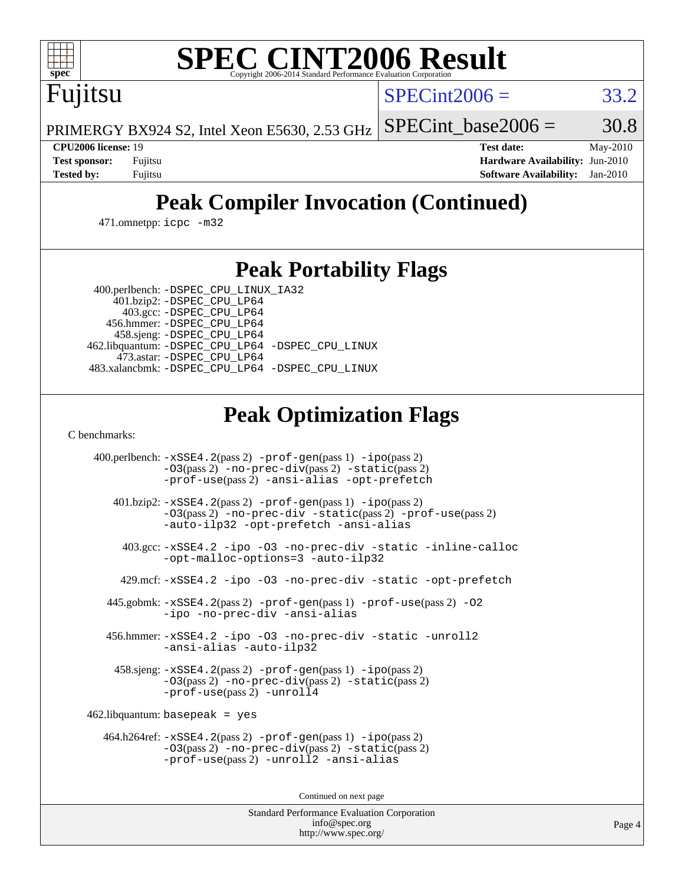

Fujitsu

# **[SPEC CINT2006 Result](http://www.spec.org/auto/cpu2006/Docs/result-fields.html#SPECCINT2006Result)**

 $SPECint2006 = 33.2$  $SPECint2006 = 33.2$ 

SPECint base2006 =  $30.8$ 

PRIMERGY BX924 S2, Intel Xeon E5630, 2.53 GHz

**[CPU2006 license:](http://www.spec.org/auto/cpu2006/Docs/result-fields.html#CPU2006license)** 19 **[Test date:](http://www.spec.org/auto/cpu2006/Docs/result-fields.html#Testdate)** May-2010 **[Test sponsor:](http://www.spec.org/auto/cpu2006/Docs/result-fields.html#Testsponsor)** Fujitsu **[Hardware Availability:](http://www.spec.org/auto/cpu2006/Docs/result-fields.html#HardwareAvailability)** Jun-2010 **[Tested by:](http://www.spec.org/auto/cpu2006/Docs/result-fields.html#Testedby)** Fujitsu **[Software Availability:](http://www.spec.org/auto/cpu2006/Docs/result-fields.html#SoftwareAvailability)** Jan-2010

# **[Peak Compiler Invocation \(Continued\)](http://www.spec.org/auto/cpu2006/Docs/result-fields.html#PeakCompilerInvocation)**

471.omnetpp: [icpc -m32](http://www.spec.org/cpu2006/results/res2010q3/cpu2006-20100618-11738.flags.html#user_peakCXXLD471_omnetpp_intel_icpc_32bit_4e5a5ef1a53fd332b3c49e69c3330699)

## **[Peak Portability Flags](http://www.spec.org/auto/cpu2006/Docs/result-fields.html#PeakPortabilityFlags)**

400.perlbench: [-DSPEC\\_CPU\\_LINUX\\_IA32](http://www.spec.org/cpu2006/results/res2010q3/cpu2006-20100618-11738.flags.html#b400.perlbench_peakCPORTABILITY_DSPEC_CPU_LINUX_IA32)

 401.bzip2: [-DSPEC\\_CPU\\_LP64](http://www.spec.org/cpu2006/results/res2010q3/cpu2006-20100618-11738.flags.html#suite_peakPORTABILITY401_bzip2_DSPEC_CPU_LP64) 403.gcc: [-DSPEC\\_CPU\\_LP64](http://www.spec.org/cpu2006/results/res2010q3/cpu2006-20100618-11738.flags.html#suite_peakPORTABILITY403_gcc_DSPEC_CPU_LP64) 456.hmmer: [-DSPEC\\_CPU\\_LP64](http://www.spec.org/cpu2006/results/res2010q3/cpu2006-20100618-11738.flags.html#suite_peakPORTABILITY456_hmmer_DSPEC_CPU_LP64) 458.sjeng: [-DSPEC\\_CPU\\_LP64](http://www.spec.org/cpu2006/results/res2010q3/cpu2006-20100618-11738.flags.html#suite_peakPORTABILITY458_sjeng_DSPEC_CPU_LP64) 462.libquantum: [-DSPEC\\_CPU\\_LP64](http://www.spec.org/cpu2006/results/res2010q3/cpu2006-20100618-11738.flags.html#suite_peakPORTABILITY462_libquantum_DSPEC_CPU_LP64) [-DSPEC\\_CPU\\_LINUX](http://www.spec.org/cpu2006/results/res2010q3/cpu2006-20100618-11738.flags.html#b462.libquantum_peakCPORTABILITY_DSPEC_CPU_LINUX) 473.astar: [-DSPEC\\_CPU\\_LP64](http://www.spec.org/cpu2006/results/res2010q3/cpu2006-20100618-11738.flags.html#suite_peakPORTABILITY473_astar_DSPEC_CPU_LP64) 483.xalancbmk: [-DSPEC\\_CPU\\_LP64](http://www.spec.org/cpu2006/results/res2010q3/cpu2006-20100618-11738.flags.html#suite_peakPORTABILITY483_xalancbmk_DSPEC_CPU_LP64) [-DSPEC\\_CPU\\_LINUX](http://www.spec.org/cpu2006/results/res2010q3/cpu2006-20100618-11738.flags.html#b483.xalancbmk_peakCXXPORTABILITY_DSPEC_CPU_LINUX)

# **[Peak Optimization Flags](http://www.spec.org/auto/cpu2006/Docs/result-fields.html#PeakOptimizationFlags)**

[C benchmarks](http://www.spec.org/auto/cpu2006/Docs/result-fields.html#Cbenchmarks):

 400.perlbench: [-xSSE4.2](http://www.spec.org/cpu2006/results/res2010q3/cpu2006-20100618-11738.flags.html#user_peakPASS2_CFLAGSPASS2_LDCFLAGS400_perlbench_f-xSSE42_f91528193cf0b216347adb8b939d4107)(pass 2) [-prof-gen](http://www.spec.org/cpu2006/results/res2010q3/cpu2006-20100618-11738.flags.html#user_peakPASS1_CFLAGSPASS1_LDCFLAGS400_perlbench_prof_gen_e43856698f6ca7b7e442dfd80e94a8fc)(pass 1) [-ipo](http://www.spec.org/cpu2006/results/res2010q3/cpu2006-20100618-11738.flags.html#user_peakPASS2_CFLAGSPASS2_LDCFLAGS400_perlbench_f-ipo)(pass 2) [-O3](http://www.spec.org/cpu2006/results/res2010q3/cpu2006-20100618-11738.flags.html#user_peakPASS2_CFLAGSPASS2_LDCFLAGS400_perlbench_f-O3)(pass 2) [-no-prec-div](http://www.spec.org/cpu2006/results/res2010q3/cpu2006-20100618-11738.flags.html#user_peakPASS2_CFLAGSPASS2_LDCFLAGS400_perlbench_f-no-prec-div)(pass 2) [-static](http://www.spec.org/cpu2006/results/res2010q3/cpu2006-20100618-11738.flags.html#user_peakPASS2_CFLAGSPASS2_LDCFLAGS400_perlbench_f-static)(pass 2) [-prof-use](http://www.spec.org/cpu2006/results/res2010q3/cpu2006-20100618-11738.flags.html#user_peakPASS2_CFLAGSPASS2_LDCFLAGS400_perlbench_prof_use_bccf7792157ff70d64e32fe3e1250b55)(pass 2) [-ansi-alias](http://www.spec.org/cpu2006/results/res2010q3/cpu2006-20100618-11738.flags.html#user_peakCOPTIMIZE400_perlbench_f-ansi-alias) [-opt-prefetch](http://www.spec.org/cpu2006/results/res2010q3/cpu2006-20100618-11738.flags.html#user_peakCOPTIMIZE400_perlbench_f-opt-prefetch) 401.bzip2: [-xSSE4.2](http://www.spec.org/cpu2006/results/res2010q3/cpu2006-20100618-11738.flags.html#user_peakPASS2_CFLAGSPASS2_LDCFLAGS401_bzip2_f-xSSE42_f91528193cf0b216347adb8b939d4107)(pass 2) [-prof-gen](http://www.spec.org/cpu2006/results/res2010q3/cpu2006-20100618-11738.flags.html#user_peakPASS1_CFLAGSPASS1_LDCFLAGS401_bzip2_prof_gen_e43856698f6ca7b7e442dfd80e94a8fc)(pass 1) [-ipo](http://www.spec.org/cpu2006/results/res2010q3/cpu2006-20100618-11738.flags.html#user_peakPASS2_CFLAGSPASS2_LDCFLAGS401_bzip2_f-ipo)(pass 2) [-O3](http://www.spec.org/cpu2006/results/res2010q3/cpu2006-20100618-11738.flags.html#user_peakPASS2_CFLAGSPASS2_LDCFLAGS401_bzip2_f-O3)(pass 2) [-no-prec-div](http://www.spec.org/cpu2006/results/res2010q3/cpu2006-20100618-11738.flags.html#user_peakCOPTIMIZEPASS2_CFLAGSPASS2_LDCFLAGS401_bzip2_f-no-prec-div) [-static](http://www.spec.org/cpu2006/results/res2010q3/cpu2006-20100618-11738.flags.html#user_peakPASS2_CFLAGSPASS2_LDCFLAGS401_bzip2_f-static)(pass 2) [-prof-use](http://www.spec.org/cpu2006/results/res2010q3/cpu2006-20100618-11738.flags.html#user_peakPASS2_CFLAGSPASS2_LDCFLAGS401_bzip2_prof_use_bccf7792157ff70d64e32fe3e1250b55)(pass 2) [-auto-ilp32](http://www.spec.org/cpu2006/results/res2010q3/cpu2006-20100618-11738.flags.html#user_peakCOPTIMIZE401_bzip2_f-auto-ilp32) [-opt-prefetch](http://www.spec.org/cpu2006/results/res2010q3/cpu2006-20100618-11738.flags.html#user_peakCOPTIMIZE401_bzip2_f-opt-prefetch) [-ansi-alias](http://www.spec.org/cpu2006/results/res2010q3/cpu2006-20100618-11738.flags.html#user_peakCOPTIMIZE401_bzip2_f-ansi-alias) 403.gcc: [-xSSE4.2](http://www.spec.org/cpu2006/results/res2010q3/cpu2006-20100618-11738.flags.html#user_peakCOPTIMIZE403_gcc_f-xSSE42_f91528193cf0b216347adb8b939d4107) [-ipo](http://www.spec.org/cpu2006/results/res2010q3/cpu2006-20100618-11738.flags.html#user_peakCOPTIMIZE403_gcc_f-ipo) [-O3](http://www.spec.org/cpu2006/results/res2010q3/cpu2006-20100618-11738.flags.html#user_peakCOPTIMIZE403_gcc_f-O3) [-no-prec-div](http://www.spec.org/cpu2006/results/res2010q3/cpu2006-20100618-11738.flags.html#user_peakCOPTIMIZE403_gcc_f-no-prec-div) [-static](http://www.spec.org/cpu2006/results/res2010q3/cpu2006-20100618-11738.flags.html#user_peakCOPTIMIZE403_gcc_f-static) [-inline-calloc](http://www.spec.org/cpu2006/results/res2010q3/cpu2006-20100618-11738.flags.html#user_peakCOPTIMIZE403_gcc_f-inline-calloc) [-opt-malloc-options=3](http://www.spec.org/cpu2006/results/res2010q3/cpu2006-20100618-11738.flags.html#user_peakCOPTIMIZE403_gcc_f-opt-malloc-options_13ab9b803cf986b4ee62f0a5998c2238) [-auto-ilp32](http://www.spec.org/cpu2006/results/res2010q3/cpu2006-20100618-11738.flags.html#user_peakCOPTIMIZE403_gcc_f-auto-ilp32) 429.mcf: [-xSSE4.2](http://www.spec.org/cpu2006/results/res2010q3/cpu2006-20100618-11738.flags.html#user_peakCOPTIMIZE429_mcf_f-xSSE42_f91528193cf0b216347adb8b939d4107) [-ipo](http://www.spec.org/cpu2006/results/res2010q3/cpu2006-20100618-11738.flags.html#user_peakCOPTIMIZE429_mcf_f-ipo) [-O3](http://www.spec.org/cpu2006/results/res2010q3/cpu2006-20100618-11738.flags.html#user_peakCOPTIMIZE429_mcf_f-O3) [-no-prec-div](http://www.spec.org/cpu2006/results/res2010q3/cpu2006-20100618-11738.flags.html#user_peakCOPTIMIZE429_mcf_f-no-prec-div) [-static](http://www.spec.org/cpu2006/results/res2010q3/cpu2006-20100618-11738.flags.html#user_peakCOPTIMIZE429_mcf_f-static) [-opt-prefetch](http://www.spec.org/cpu2006/results/res2010q3/cpu2006-20100618-11738.flags.html#user_peakCOPTIMIZE429_mcf_f-opt-prefetch) 445.gobmk: [-xSSE4.2](http://www.spec.org/cpu2006/results/res2010q3/cpu2006-20100618-11738.flags.html#user_peakPASS2_CFLAGSPASS2_LDCFLAGS445_gobmk_f-xSSE42_f91528193cf0b216347adb8b939d4107)(pass 2) [-prof-gen](http://www.spec.org/cpu2006/results/res2010q3/cpu2006-20100618-11738.flags.html#user_peakPASS1_CFLAGSPASS1_LDCFLAGS445_gobmk_prof_gen_e43856698f6ca7b7e442dfd80e94a8fc)(pass 1) [-prof-use](http://www.spec.org/cpu2006/results/res2010q3/cpu2006-20100618-11738.flags.html#user_peakPASS2_CFLAGSPASS2_LDCFLAGS445_gobmk_prof_use_bccf7792157ff70d64e32fe3e1250b55)(pass 2) [-O2](http://www.spec.org/cpu2006/results/res2010q3/cpu2006-20100618-11738.flags.html#user_peakCOPTIMIZE445_gobmk_f-O2) [-ipo](http://www.spec.org/cpu2006/results/res2010q3/cpu2006-20100618-11738.flags.html#user_peakCOPTIMIZE445_gobmk_f-ipo) [-no-prec-div](http://www.spec.org/cpu2006/results/res2010q3/cpu2006-20100618-11738.flags.html#user_peakCOPTIMIZE445_gobmk_f-no-prec-div) [-ansi-alias](http://www.spec.org/cpu2006/results/res2010q3/cpu2006-20100618-11738.flags.html#user_peakCOPTIMIZE445_gobmk_f-ansi-alias) 456.hmmer: [-xSSE4.2](http://www.spec.org/cpu2006/results/res2010q3/cpu2006-20100618-11738.flags.html#user_peakCOPTIMIZE456_hmmer_f-xSSE42_f91528193cf0b216347adb8b939d4107) [-ipo](http://www.spec.org/cpu2006/results/res2010q3/cpu2006-20100618-11738.flags.html#user_peakCOPTIMIZE456_hmmer_f-ipo) [-O3](http://www.spec.org/cpu2006/results/res2010q3/cpu2006-20100618-11738.flags.html#user_peakCOPTIMIZE456_hmmer_f-O3) [-no-prec-div](http://www.spec.org/cpu2006/results/res2010q3/cpu2006-20100618-11738.flags.html#user_peakCOPTIMIZE456_hmmer_f-no-prec-div) [-static](http://www.spec.org/cpu2006/results/res2010q3/cpu2006-20100618-11738.flags.html#user_peakCOPTIMIZE456_hmmer_f-static) [-unroll2](http://www.spec.org/cpu2006/results/res2010q3/cpu2006-20100618-11738.flags.html#user_peakCOPTIMIZE456_hmmer_f-unroll_784dae83bebfb236979b41d2422d7ec2) [-ansi-alias](http://www.spec.org/cpu2006/results/res2010q3/cpu2006-20100618-11738.flags.html#user_peakCOPTIMIZE456_hmmer_f-ansi-alias) [-auto-ilp32](http://www.spec.org/cpu2006/results/res2010q3/cpu2006-20100618-11738.flags.html#user_peakCOPTIMIZE456_hmmer_f-auto-ilp32) 458.sjeng: [-xSSE4.2](http://www.spec.org/cpu2006/results/res2010q3/cpu2006-20100618-11738.flags.html#user_peakPASS2_CFLAGSPASS2_LDCFLAGS458_sjeng_f-xSSE42_f91528193cf0b216347adb8b939d4107)(pass 2) [-prof-gen](http://www.spec.org/cpu2006/results/res2010q3/cpu2006-20100618-11738.flags.html#user_peakPASS1_CFLAGSPASS1_LDCFLAGS458_sjeng_prof_gen_e43856698f6ca7b7e442dfd80e94a8fc)(pass 1) [-ipo](http://www.spec.org/cpu2006/results/res2010q3/cpu2006-20100618-11738.flags.html#user_peakPASS2_CFLAGSPASS2_LDCFLAGS458_sjeng_f-ipo)(pass 2) [-O3](http://www.spec.org/cpu2006/results/res2010q3/cpu2006-20100618-11738.flags.html#user_peakPASS2_CFLAGSPASS2_LDCFLAGS458_sjeng_f-O3)(pass 2) [-no-prec-div](http://www.spec.org/cpu2006/results/res2010q3/cpu2006-20100618-11738.flags.html#user_peakPASS2_CFLAGSPASS2_LDCFLAGS458_sjeng_f-no-prec-div)(pass 2) [-static](http://www.spec.org/cpu2006/results/res2010q3/cpu2006-20100618-11738.flags.html#user_peakPASS2_CFLAGSPASS2_LDCFLAGS458_sjeng_f-static)(pass 2) [-prof-use](http://www.spec.org/cpu2006/results/res2010q3/cpu2006-20100618-11738.flags.html#user_peakPASS2_CFLAGSPASS2_LDCFLAGS458_sjeng_prof_use_bccf7792157ff70d64e32fe3e1250b55)(pass 2) [-unroll4](http://www.spec.org/cpu2006/results/res2010q3/cpu2006-20100618-11738.flags.html#user_peakCOPTIMIZE458_sjeng_f-unroll_4e5e4ed65b7fd20bdcd365bec371b81f) 462.libquantum: basepeak = yes 464.h264ref: [-xSSE4.2](http://www.spec.org/cpu2006/results/res2010q3/cpu2006-20100618-11738.flags.html#user_peakPASS2_CFLAGSPASS2_LDCFLAGS464_h264ref_f-xSSE42_f91528193cf0b216347adb8b939d4107)(pass 2) [-prof-gen](http://www.spec.org/cpu2006/results/res2010q3/cpu2006-20100618-11738.flags.html#user_peakPASS1_CFLAGSPASS1_LDCFLAGS464_h264ref_prof_gen_e43856698f6ca7b7e442dfd80e94a8fc)(pass 1) [-ipo](http://www.spec.org/cpu2006/results/res2010q3/cpu2006-20100618-11738.flags.html#user_peakPASS2_CFLAGSPASS2_LDCFLAGS464_h264ref_f-ipo)(pass 2) [-O3](http://www.spec.org/cpu2006/results/res2010q3/cpu2006-20100618-11738.flags.html#user_peakPASS2_CFLAGSPASS2_LDCFLAGS464_h264ref_f-O3)(pass 2) [-no-prec-div](http://www.spec.org/cpu2006/results/res2010q3/cpu2006-20100618-11738.flags.html#user_peakPASS2_CFLAGSPASS2_LDCFLAGS464_h264ref_f-no-prec-div)(pass 2) [-static](http://www.spec.org/cpu2006/results/res2010q3/cpu2006-20100618-11738.flags.html#user_peakPASS2_CFLAGSPASS2_LDCFLAGS464_h264ref_f-static)(pass 2) [-prof-use](http://www.spec.org/cpu2006/results/res2010q3/cpu2006-20100618-11738.flags.html#user_peakPASS2_CFLAGSPASS2_LDCFLAGS464_h264ref_prof_use_bccf7792157ff70d64e32fe3e1250b55)(pass 2) [-unroll2](http://www.spec.org/cpu2006/results/res2010q3/cpu2006-20100618-11738.flags.html#user_peakCOPTIMIZE464_h264ref_f-unroll_784dae83bebfb236979b41d2422d7ec2) [-ansi-alias](http://www.spec.org/cpu2006/results/res2010q3/cpu2006-20100618-11738.flags.html#user_peakCOPTIMIZE464_h264ref_f-ansi-alias)

Continued on next page

Standard Performance Evaluation Corporation [info@spec.org](mailto:info@spec.org) <http://www.spec.org/>